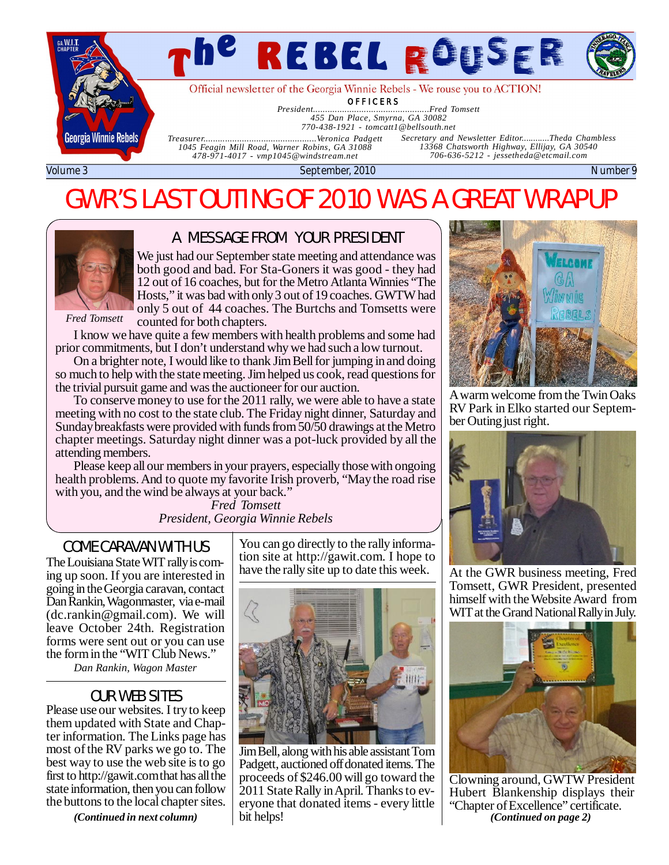

# *The Rebel Rouser Page*

Official newsletter of the Georgia Winnie Rebels - We rouse you to ACTION!

**OFFICERS** 

*President................................................Fred Tomsett 455 Dan Place, Smyrna, GA 30082*

*770-438-1921 - [tomcatt1@bellsouth.net](mailto:tomcatt1@bellsouth.net)*

*Treasurer...............................................Veronica Padgett 1045 Feagin Mill Road, Warner Robins, GA 31088 478-971-4017 - [vmp1045@windstream.net](mailto:vmp1045@windstream.net)*

*Secretary and Newsletter Editor............Theda Chambless 13368 Chatsworth Highway, Ellijay, GA 30540 706-636-5212 - [jessetheda@etcmail.com](mailto:jessetheda@etcmail.com)*

Volume 3 September, 2010 Number 9

## GWR'S LAST OUTING OF 2010 WAS A GREAT WRAPUP



#### A MESSAGE FROM YOUR PRESIDENT

We just had our September state meeting and attendance was both good and bad. For Sta-Goners it was good - they had 12 out of 16 coaches, but for the Metro Atlanta Winnies "The Hosts," it was bad with only 3 out of 19 coaches. GWTW had only 5 out of 44 coaches. The Burtchs and Tomsetts were counted for both chapters.

*Fred Tomsett*

I know we have quite a few members with health problems and some had prior commitments, but I don't understand why we had such a low turnout.

On a brighter note, I would like to thank Jim Bell for jumping in and doing so much to help with the state meeting. Jim helped us cook, read questions for the trivial pursuit game and was the auctioneer for our auction.

To conserve money to use for the 2011 rally, we were able to have a state meeting with no cost to the state club. The Friday night dinner, Saturday and Sunday breakfasts were provided with funds from 50/50 drawings at the Metro chapter meetings. Saturday night dinner was a pot-luck provided by all the attending members.

Please keep all our members in your prayers, especially those with ongoing health problems. And to quote my favorite Irish proverb, "May the road rise with you, and the wind be always at your back."

*Fred Tomsett President, Georgia Winnie Rebels*

The Louisiana State WIT rally is coming up soon. If you are interested in going in the Georgia caravan, contact Dan Rankin, Wagonmaster, via e-mail ([dc.rankin@gmail.com\)](mailto:dc.rankin@gmail.com). We will leave October 24th. Registration forms were sent out or you can use the form in the "WIT Club News."

*Dan Rankin, Wagon Master*

#### OUR WEB SITES

Please use our websites. I try to keep them updated with State and Chapter information. The Links page has most of the RV parks we go to. The best way to use the web site is to go first to<http://gawit.com> that has all the state information, then you can follow the buttons to the local chapter sites.

*(Continued in next column)*

COME CARAVAN WITH  $US$   $\vert$  You can go directly to the rally information site at <http://gawit.com.>I hope to have the rally site up to date this week.



Jim Bell, along with his able assistant Tom Padgett, auctioned off donated items. The proceeds of \$246.00 will go toward the 2011 State Rally in April. Thanks to everyone that donated items - every little bit helps!



A warm welcome from the Twin Oaks RV Park in Elko started our September Outing just right.



At the GWR business meeting, Fred Tomsett, GWR President, presented himself with the Website Award from WIT at the Grand National Rally in July.



Clowning around, GWTW President Hubert Blankenship displays their "Chapter of Excellence" certificate. *(Continued on page 2)*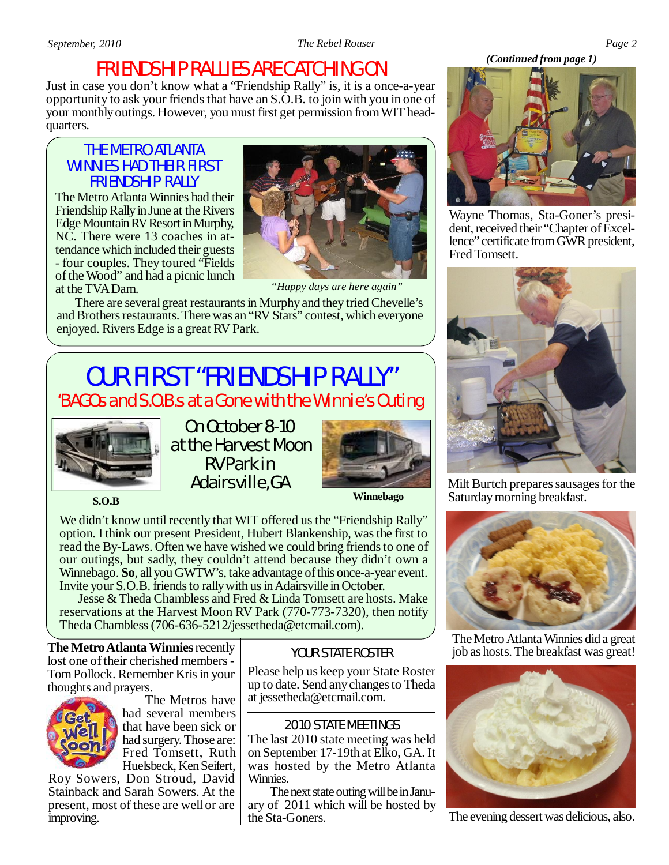### FRIENDSHIP RALLIES ARE CATCHING ON

Just in case you don't know what a "Friendship Rally" is, it is a once-a-year opportunity to ask your friends that have an S.O.B. to join with you in one of your monthly outings. However, you must first get permission from WIT headquarters.

#### THE METRO ATLANTA WINNIES HAD THEIR FIRST FRIENDSHIP RALLY

The Metro Atlanta Winnies had their Friendship Rally in June at the Rivers Edge Mountain RV Resort in Murphy, NC. There were 13 coaches in attendance which included their guests - four couples. They toured "Fields of the Wood" and had a picnic lunch at the TVA Dam.



*"Happy days are here again"*

There are several great restaurants in Murphy and they tried Chevelle's and Brothers restaurants. There was an "RV Stars" contest, which everyone enjoyed. Rivers Edge is a great RV Park.

### 'BAGOs and S.O.B.s at a Gone with the Winnie's Outing OUR FIRST "FRIENDSHIP RALLY"



On October 8-10 at the Harvest Moon RV Park in Adairsville, GA



**S.O.B Winnebago**

We didn't know until recently that WIT offered us the "Friendship Rally" option. I think our present President, Hubert Blankenship, was the first to read the By-Laws. Often we have wished we could bring friends to one of our outings, but sadly, they couldn't attend because they didn't own a Winnebago. **So**, all you GWTW's, take advantage of this once-a-year event. Invite your S.O.B. friends to rally with us in Adairsville in October.

Jesse & Theda Chambless and Fred & Linda Tomsett are hosts. Make reservations at the Harvest Moon RV Park (770-773-7320), then notify Theda Chambless (706-636-5212/jessetheda@etcmail.com).

**The Metro Atlanta Winnies** recently lost one of their cherished members - Tom Pollock. Remember Kris in your thoughts and prayers.



 The Metros have had several members that have been sick or had surgery. Those are: Fred Tomsett, Ruth Huelsbeck, Ken Seifert,

Roy Sowers, Don Stroud, David Stainback and Sarah Sowers. At the present, most of these are well or are improving.

#### YOUR STATE ROSTER

Please help us keep your State Roster up to date. Send any changes to Theda at [jessetheda@etcmail.com](mailto:jessetheda@etcmail.com).

#### 2010 STATE MEETINGS

The last 2010 state meeting was held on September 17-19th at Elko, GA. It was hosted by the Metro Atlanta Winnies.

The next state outing will be in January of 2011 which will be hosted by the Sta-Goners.



Wayne Thomas, Sta-Goner's president, received their "Chapter of Excellence" certificate from GWR president, Fred Tomsett.



Milt Burtch prepares sausages for the Saturday morning breakfast.



The Metro Atlanta Winnies did a great job as hosts. The breakfast was great!



The evening dessert was delicious, also.